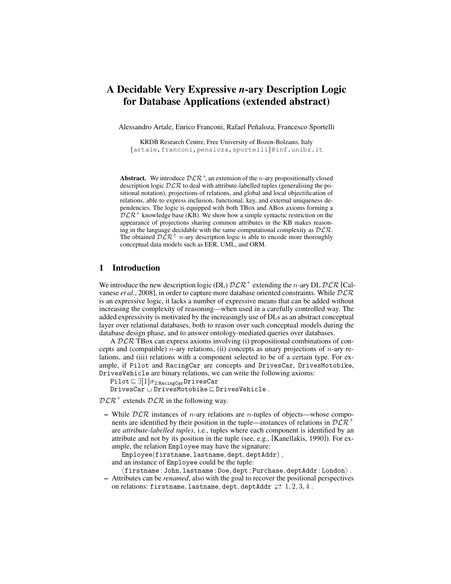# A Decidable Very Expressive *n*-ary Description Logic for Database Applications (extended abstract)

Alessandro Artale, Enrico Franconi, Rafael Peñaloza, Francesco Sportelli

KRDB Research Centre, Free University of Bozen-Bolzano, Italy {artale,franconi,penaloza,sportelli}@inf.unibz.it

Abstract. We introduce  $\mathcal{DLR}^+$ , an extension of the *n*-ary propositionally closed description logic  $DLR$  to deal with attribute-labelled tuples (generalising the positional notation), projections of relations, and global and local objectification of relations, able to express inclusion, functional, key, and external uniqueness dependencies. The logic is equipped with both TBox and ABox axioms forming a  $D\mathcal{L}\mathcal{R}^+$  knowledge base (KB). We show how a simple syntactic restriction on the appearance of projections sharing common attributes in the KB makes reasoning in the language decidable with the same computational complexity as  $D\mathcal{LR}$ . The obtained  $\mathcal{DLR}^{\pm}$  n-ary description logic is able to encode more thoroughly conceptual data models such as EER, UML, and ORM.

## 1 Introduction

We introduce the new description logic (DL)  $\mathcal{DLR}^+$  extending the n-ary DL  $\mathcal{DLR}$  [Calvanese *et al.*, 2008], in order to capture more database oriented constraints. While  $DLR$ is an expressive logic, it lacks a number of expressive means that can be added without increasing the complexity of reasoning—when used in a carefully controlled way. The added expressivity is motivated by the increasingly use of DLs as an abstract conceptual layer over relational databases, both to reason over such conceptual models during the database design phase, and to answer ontology-mediated queries over databases.

A DLR TBox can express axioms involving (i) propositional combinations of concepts and (compatible) *n*-ary relations, (ii) concepts as unary projections of *n*-ary relations, and (iii) relations with a component selected to be of a certain type. For example, if Pilot and RacingCar are concepts and DrivesCar, DrivesMotobike, DrivesVehicle are binary relations, we can write the following axioms:

Pilot  $\equiv \exists [1] \sigma_{2:\texttt{RacingCar}}$ DrivesCar

 $\texttt{DrivesCar} \sqcup \texttt{DrivesMotobike} \sqsubseteq \texttt{DrivesVehicle} \ .$ 

 $D\mathcal{L}\mathcal{R}^+$  extends  $D\mathcal{L}\mathcal{R}$  in the following way.

– While  $DLR$  instances of *n*-ary relations are *n*-tuples of objects—whose components are identified by their position in the tuple—instances of relations in  $D\mathcal{L}\mathcal{R}^+$ are *attribute-labelled tuples*, i.e., tuples where each component is identified by an attribute and not by its position in the tuple (see, e.g., [Kanellakis, 1990]). For example, the relation Employee may have the signature:

 $Emplogee(firstname, lastname, dept, deptAddr)$ ,

and an instance of Employee could be the tuple:

 $\langle {\tt firstname}: {\tt John}, {\tt lastname}: {\tt Doe}, {\tt depth}: {\tt Purchase}, {\tt depthAddr}: {\tt London} \rangle$  .

– Attributes can be *renamed*, also with the goal to recover the positional perspectives on relations: firstname, lastname, dept, deptAddr  $\rightleftarrows$  1, 2, 3, 4.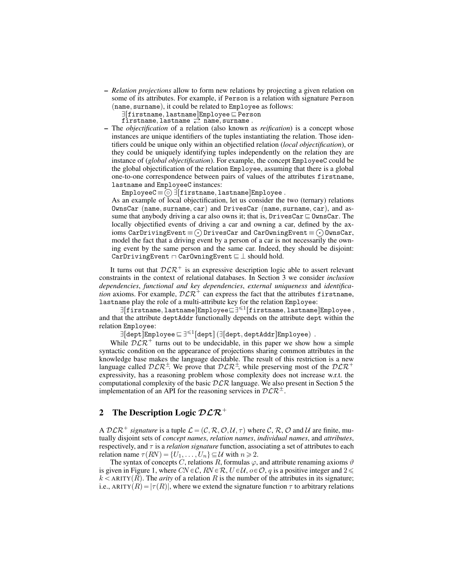– *Relation projections* allow to form new relations by projecting a given relation on some of its attributes. For example, if Person is a relation with signature Person  $(name, surname), it could be related to  $Employee$  as follows:$ 

 $\exists [\texttt{firstname}, \texttt{lastname}]$ Employee $\sqsubseteq$  Person

firstname, lastname  $\stackrel{\rightarrow}{\rightleftarrows}$  name, surname.

- The *objectification* of a relation (also known as *reification*) is a concept whose instances are unique identifiers of the tuples instantiating the relation. Those identifiers could be unique only within an objectified relation (*local objectification*), or they could be uniquely identifying tuples independently on the relation they are instance of (*global objectification*). For example, the concept EmployeeC could be the global objectification of the relation Employee, assuming that there is a global one-to-one correspondence between pairs of values of the attributes firstname, lastname and EmployeeC instances: Å
	- $\texttt{EmployeeC} \!\equiv\! \textcircled{\small\texttt{s}}\!\!\;\exists [\texttt{firstname}, \texttt{lastname}] \texttt{Employee} \ .$

As an example of local objectification, let us consider the two (ternary) relations OwnsCar (name, surname, car) and DrivesCar (name, surname, car), and assume that anybody driving a car also owns it; that is,  $DrivesCar \sqsubseteq OwnsCar$ . The locally objectified events of driving a car and owning a car, defined by the ax- $\text{ions CarDrivingEvent} \! \equiv \! \odot \! \text{DrivesCar}$  and  $\text{CarOwningEvent} \! \equiv \! \odot \! \text{OwnsCar},$ model the fact that a driving event by a person of a car is not necessarily the owning event by the same person and the same car. Indeed, they should be disjoint: CarDrivingEvent  $\Box$  CarOwningEvent  $\Box \perp$  should hold.

It turns out that  $D\mathcal{L}R^+$  is an expressive description logic able to assert relevant constraints in the context of relational databases. In Section 3 we consider *inclusion dependencies*, *functional and key dependencies*, *external uniqueness* and *identification* axioms. For example,  $D\mathcal{L}R^+$  can express the fact that the attributes firstname, lastname play the role of a multi-attribute key for the relation Employee:

 $\exists$ [firstname,lastname]Employee $\subseteq$ ] $\leq$ <sup>1</sup>[firstname,lastname]Employee, and that the attribute deptAddr functionally depends on the attribute dept within the relation Employee:

 $\exists [\mathtt{depth}]$ Employee $\sqsubseteq \exists^{\leqslant 1}[\mathtt{depth}]$  ( $\exists [\mathtt{depth}, \mathtt{depth}]\mathtt{Embloyee})$  .

While  $DLR^+$  turns out to be undecidable, in this paper we show how a simple syntactic condition on the appearance of projections sharing common attributes in the knowledge base makes the language decidable. The result of this restriction is a new language called  $D\mathcal{L}R^{\pm}$ . We prove that  $D\mathcal{L}R^{\pm}$ , while preserving most of the  $D\mathcal{L}R^{\pm}$ expressivity, has a reasoning problem whose complexity does not increase w.r.t. the computational complexity of the basic  $DLR$  language. We also present in Section 5 the implementation of an API for the reasoning services in  $D\mathcal{L} \mathcal{R}^{\pm}$ .

#### 2 The Description Logic  $DLR^+$

A  $D\mathcal{L}\mathcal{R}^+$  *signature* is a tuple  $\mathcal{L} = (\mathcal{C}, \mathcal{R}, \mathcal{O}, \mathcal{U}, \tau)$  where C, R, O and U are finite, mutually disjoint sets of *concept names*, *relation names*, *individual names*, and *attributes*, respectively, and τ is a *relation signature* function, associating a set of attributes to each relation name  $\tau(RN) = \{U_1, \ldots, U_n\} \subseteq \mathcal{U}$  with  $n \geq 2$ .

The syntax of concepts C, relations R, formulas  $\varphi$ , and attribute renaming axioms  $\vartheta$ is given in Figure 1, where  $CN \in \mathcal{C}$ ,  $RN \in \mathcal{R}$ ,  $U \in \mathcal{U}$ ,  $o \in \mathcal{O}$ , q is a positive integer and  $2 \leq$  $k <$  ARITY(R). The *arity* of a relation R is the number of the attributes in its signature; i.e., ARITY $(R) = |\tau(R)|$ , where we extend the signature function  $\tau$  to arbitrary relations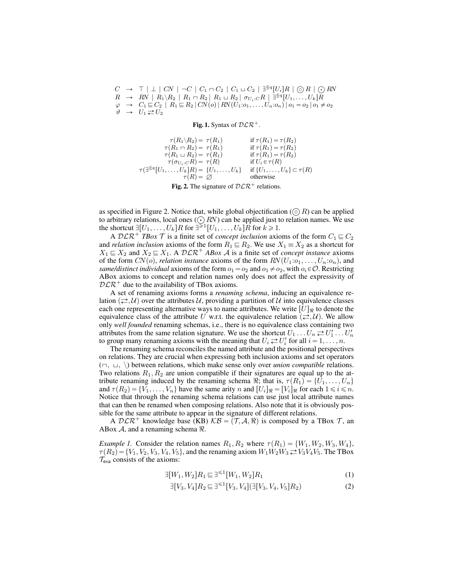$C \rightarrow \top \perp \mid CN \mid \neg C \mid C_1 \sqcap C_2 \mid C_1 \sqcup C_2 \mid \exists^{\leq q} [U_i]R \mid \bigcirc R \mid \bigcirc RN$  $R \rightarrow RN \mid R_1 \backslash R_2 \mid R_1 \sqcap R_2 \mid R_1 \sqcup R_2 \mid \sigma_{U_i:C} R \mid \exists^{\lessgtr} q [U_1, \ldots, U_k] R$  $\varphi \rightarrow C_1 \sqsubseteq C_2 \mid R_1 \sqsubseteq R_2 \, | \, CN(o) \, | \, RN(U_1: o_1, \ldots, U_n: o_n) \, | \, o_1 = o_2 \, | \, o_1 \neq o_2$  $\psi \rightarrow U_1 \rightleftarrows U_2$ 

Fig. 1. Syntax of  $\mathcal{DLR}^+$ .

 $\tau(R_1 \backslash R_2) = \tau(R_1)$  if  $\tau(R_1) = \tau(R_2)$ <br>  $(R_1 \sqcap R_2) = \tau(R_1)$  if  $\tau(R_1) = \tau(R_2)$  $\tau(R_1 \cap R_2) = \tau(R_1)$  if  $\tau(R_1) = \tau(R_2)$ <br>  $\tau(R_1 \cup R_2) = \tau(R_1)$  if  $\tau(R_1) = \tau(R_2)$  $\tau(R_1 \sqcup R_2) = \tau(R_1)$  if  $\tau(R_1) = \tau$ <br>  $\tau(\sigma_{U_i:C}R) = \tau(R)$  if  $U_i \in \tau(R)$  $\tau(\sigma_{U_i:C} R) = \tau(R)$  $\tau(\exists^{\leq q}[U_1, \ldots, U_k]R) = \{U_1, \ldots, U_k\}$  if  $\{U_1, \ldots, U_k\} \subset \tau(R)$  $\tau(R) = \emptyset$  otherwise

Fig. 2. The signature of  $\mathcal{DLR}^+$  relations.

as specified in Figure 2. Notice that, while global objectification ( $\odot$ R) can be applied to arbitrary relations, local ones  $(\cdot)$  RN) can be applied just to relation names. We use the shortcut  $\exists [U_1, \ldots, U_k]R$  for  $\exists^{\geq 1}[U_1, \ldots, U_k]\hat{R}$  for  $\check{k} \geq 1$ .

A  $\mathcal{D}\mathcal{L}\mathcal{R}^+$  *TBox*  $\mathcal T$  is a finite set of *concept inclusion* axioms of the form  $C_1 \sqsubseteq C_2$ and *relation inclusion* axioms of the form  $R_1 \sqsubseteq R_2$ . We use  $X_1 \equiv X_2$  as a shortcut for  $X_1 \subseteq X_2$  and  $X_2 \subseteq X_1$ . A  $\mathcal{DLR}^+$  *ABox A* is a finite set of *concept instance* axioms of the form  $CN(o)$ , *relation instance* axioms of the form  $RN(U_1:o_1, \ldots, U_n:o_n)$ , and *same/distinct individual* axioms of the form  $o_1 = o_2$  and  $o_1 \neq o_2$ , with  $o_i \in \mathcal{O}$ . Restricting ABox axioms to concept and relation names only does not affect the expressivity of  $DLR^+$  due to the availability of TBox axioms.

A set of renaming axioms forms a *renaming schema*, inducing an equivalence relation  $(\rightleftarrows, U)$  over the attributes U, providing a partition of U into equivalence classes each one representing alternative ways to name attributes. We write  $|U|_{\Re}$  to denote the equivalence class of the attribute U w.r.t. the equivalence relation  $(\rightleftarrows, \mathcal{U})$ . We allow only *well founded* renaming schemas, i.e., there is no equivalence class containing two attributes from the same relation signature. We use the shortcut  $U_1 \dots U_n \rightleftarrows U'_1 \dots U'_n$ to group many renaming axioms with the meaning that  $U_i \rightleftarrows U'_i$  for all  $i = 1, \ldots, n$ .

The renaming schema reconciles the named attribute and the positional perspectives on relations. They are crucial when expressing both inclusion axioms and set operators  $(\neg, \sqcup, \setminus)$  between relations, which make sense only over *union compatible* relations. Two relations  $R_1, R_2$  are union compatible if their signatures are equal up to the attribute renaming induced by the renaming schema  $\Re$ ; that is,  $\tau(R_1) = \{U_1, \ldots, U_n\}$ and  $\tau(R_2) = \{V_1, \ldots, V_n\}$  have the same arity n and  $[U_i]_{\Re} = [V_i]_{\Re}$  for each  $1 \le i \le n$ . Notice that through the renaming schema relations can use just local attribute names that can then be renamed when composing relations. Also note that it is obviously possible for the same attribute to appear in the signature of different relations.

A  $D\mathcal{L}\mathcal{R}^+$  knowledge base (KB)  $\mathcal{KB} = (T, \mathcal{A}, \mathcal{R})$  is composed by a TBox  $T$ , an ABox  $A$ , and a renaming schema  $\Re$ .

*Example 1.* Consider the relation names  $R_1, R_2$  where  $\tau(R_1) = \{W_1, W_2, W_3, W_4\}$ ,  $\tau(R_2) = \{V_1, V_2, V_3, V_4, V_5\}$ , and the renaming axiom  $W_1W_2W_3 \rightleftarrows V_3V_4V_5$ . The TBox  $\mathcal{T}_{\text{exa}}$  consists of the axioms:

$$
\exists [W_1, W_2] R_1 \sqsubseteq \exists^{\leq 1} [W_1, W_2] R_1 \tag{1}
$$

$$
\exists [V_3, V_4] R_2 \sqsubseteq \exists^{\leq 1} [V_3, V_4] (\exists [V_3, V_4, V_5] R_2)
$$
\n(2)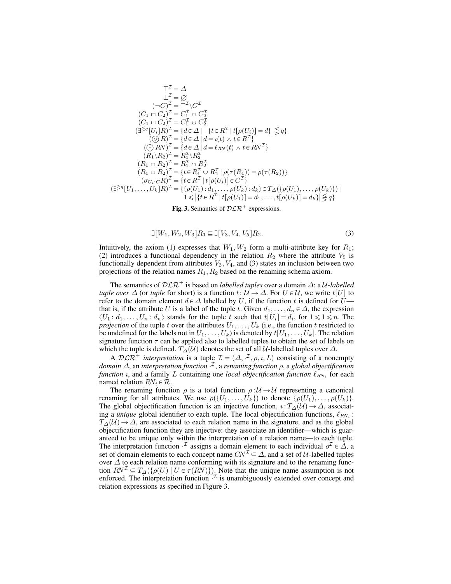$$
\top^{\mathcal{I}} = \Delta
$$
\n
$$
\bot^{\mathcal{I}} = \varnothing
$$
\n
$$
(-C)^{\mathcal{I}} = \top^{\mathcal{I}} \setminus C^{\mathcal{I}}
$$
\n
$$
(C_1 \cap C_2)^{\mathcal{I}} = C_1^{\mathcal{I}} \cap C_2^{\mathcal{I}}
$$
\n
$$
(C_1 \cup C_2)^{\mathcal{I}} = C_1^{\mathcal{I}} \cup C_2^{\mathcal{I}}
$$
\n
$$
(\exists^{\leq q} [U_i]R)^{\mathcal{I}} = \{d \in \Delta \mid \{t \in R^{\mathcal{I}} \mid t[\rho(U_i)] = d\} \leq q\}
$$
\n
$$
(\bigcirc R)^{\mathcal{I}} = \{d \in \Delta \mid d = i(t) \land t \in R^{\mathcal{I}}\}
$$
\n
$$
(C_1 \cup R)^{\mathcal{I}} = \{d \in \Delta \mid d = i(t) \land t \in R^{\mathcal{I}}\}
$$
\n
$$
(R_1 \setminus R_2)^{\mathcal{I}} = R_1^{\mathcal{I}} \setminus R_2^{\mathcal{I}}
$$
\n
$$
(R_1 \setminus R_2)^{\mathcal{I}} = R_1^{\mathcal{I}} \cap R_2^{\mathcal{I}}
$$
\n
$$
(R_1 \cup R_2)^{\mathcal{I}} = \{t \in R_1^{\mathcal{I}} \cup R_2^{\mathcal{I}} \mid \rho(\tau(R_1)) = \rho(\tau(R_2))\}
$$
\n
$$
(\sigma_{U_i}:CR)^{\mathcal{I}} = \{t \in R^{\mathcal{I}} \mid t[\rho(U_i)] \in C^{\mathcal{I}}\}
$$
\n
$$
(\exists^{\leq q}[U_1, \ldots, U_k]R)^{\mathcal{I}} = \{\phi(U_1): d_1, \ldots, \rho(U_k): d_k \geq T_{\Delta}(\{\rho(U_1), \ldots, \rho(U_k)\}) \mid 1 \leq |\{t \in R^{\mathcal{I}} \mid t[\rho(U_1)] = d_1, \ldots, t[\rho(U_k)] = d_k\} \leq q\}
$$

Fig. 3. Semantics of  $\mathcal{DLR}^+$  expressions.

$$
\exists [W_1, W_2, W_3] R_1 \sqsubseteq \exists [V_3, V_4, V_5] R_2. \tag{3}
$$

Intuitively, the axiom (1) expresses that  $W_1, W_2$  form a multi-attribute key for  $R_1$ ; (2) introduces a functional dependency in the relation  $R_2$  where the attribute  $V_5$  is functionally dependent from attributes  $V_3$ ,  $V_4$ , and (3) states an inclusion between two projections of the relation names  $R_1, R_2$  based on the renaming schema axiom.

The semantics of  $DLR^+$  is based on *labelled tuples* over a domain  $\Delta$ : a U-labelled *tuple over*  $\Delta$  (or *tuple* for short) is a function  $t: U \to \Delta$ . For  $U \in \mathcal{U}$ , we write  $t[U]$  to refer to the domain element  $d \in \Delta$  labelled by U, if the function t is defined for U that is, if the attribute U is a label of the tuple t. Given  $d_1, \ldots, d_n \in \Delta$ , the expression  $\langle U_1: d_1, \ldots, U_n: d_n \rangle$  stands for the tuple t such that  $t[U_i] = d_i$ , for  $1 \leq \mathrm{Im} \lambda$ . The *projection* of the tuple t over the attributes  $U_1, \ldots, U_k$  (i.e., the function t restricted to be undefined for the labels not in  $U_1, \ldots, U_k$  is denoted by  $t[U_1, \ldots, U_k]$ . The relation signature function  $\tau$  can be applied also to labelled tuples to obtain the set of labels on which the tuple is defined.  $T_{\Delta}(\mathcal{U})$  denotes the set of all U-labelled tuples over  $\Delta$ .

A  $\mathcal{DLR}^+$  *interpretation* is a tuple  $\mathcal{I} = (\Delta, \cdot^{\mathcal{I}}, \rho, \iota, L)$  consisting of a nonempty *domain* Δ, an *interpretation function*  $^{\mathcal{I}}$ , a *renaming function ρ*, a *global objectification function*  $\imath$ , and a family L containing one *local objectification function*  $\ell_{RN_i}$  for each named relation  $RN_i \in \mathcal{R}$ .

The renaming function  $\rho$  is a total function  $\rho : U \to U$  representing a canonical renaming for all attributes. We use  $\rho({U_1, \ldots, U_k})$  to denote  $\{\rho(U_1), \ldots, \rho(U_k)\}.$ The global objectification function is an injective function,  $\iota : T_{\Delta}(\mathcal{U}) \to \Delta$ , associating a *unique* global identifier to each tuple. The local objectification functions,  $\ell_{RN_i}$ :  $T_\Delta(\mathcal{U}) \to \Delta$ , are associated to each relation name in the signature, and as the global objectification function they are injective: they associate an identifier—which is guaranteed to be unique only within the interpretation of a relation name—to each tuple. The interpretation function  $\cdot^{\mathcal{I}}$  assigns a domain element to each individual  $o^{\mathcal{I}} \in \hat{\Delta}$ , a set of domain elements to each concept name  $CN^{\mathcal{I}} \subseteq \Delta$ , and a set of  $\mathcal{U}$ -labelled tuples over  $\Delta$  to each relation name conforming with its signature and to the renaming function  $RN^{\mathcal{I}} \subseteq T_{\Delta}(\{\rho(U) | U \in \tau(RN)\})$ . Note that the unique name assumption is not enforced. The interpretation function  $\mathcal{I}$  is unambiguously extended over concept and relation expressions as specified in Figure 3.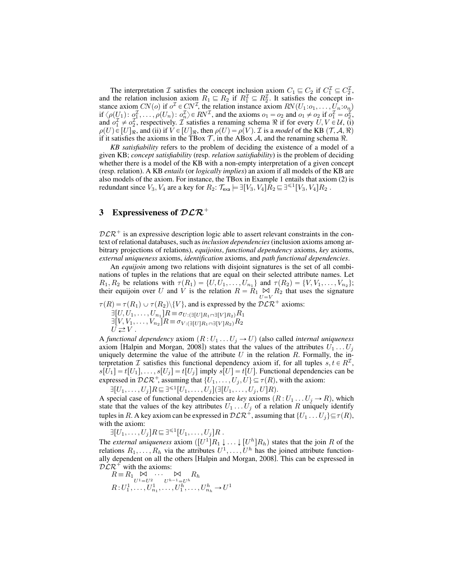The interpretation  $\mathcal I$  satisfies the concept inclusion axiom  $C_1 \sqsubseteq C_2$  if  $C_1^{\mathcal I} \subseteq C_2^{\mathcal I}$ , and the relation inclusion axiom  $R_1 \nightharpoonup R_2$  if  $R_1^{\mathcal{I}} \subseteq R_2^{\mathcal{I}}$ . It satisfies the concept instance axiom CN(o) if  $o^{\mathcal{I}} \in CN^{\mathcal{I}}$ , the relation instance axiom  $RN(U_1:o_1, \ldots, U_n:o_n)$ if  $\langle \rho(U_1): \rho_1^T, \ldots, \rho(U_n): \rho_n^T \rangle \in RV^T$ , and the axioms  $o_1 = o_2$  and  $o_1 \neq o_2$  if  $o_1^T = o_2^T$ , and  $o_1^{\mathcal{I}} \neq o_2^{\mathcal{I}}$ , respectively.  $\mathcal{I}$  satisfies a renaming schema  $\Re$  if for every  $U, V \in \mathcal{U}$ , (i)  $\rho(U) \in [U]_{\Re}$ , and (ii) if  $V \in [U]_{\Re}$ , then  $\rho(U) = \rho(V)$ . *T* is a *model* of the KB  $(T, \mathcal{A}, \Re)$ if it satisfies the axioms in the TBox  $\mathcal T$ , in the ABox  $\mathcal A$ , and the renaming schema  $\Re$ .

*KB satisfiability* refers to the problem of deciding the existence of a model of a given KB; *concept satisfiability* (resp. *relation satisfiability*) is the problem of deciding whether there is a model of the KB with a non-empty interpretation of a given concept (resp. relation). A KB *entails* (or *logically implies*) an axiom if all models of the KB are also models of the axiom. For instance, the TBox in Example 1 entails that axiom (2) is redundant since  $V_3, V_4$  are a key for  $R_2: \mathcal{T}_{\text{exa}} \models \exists [V_3, V_4] \hat{R}_2 \sqsubseteq \exists^{\leq 1} [V_3, V_4] R_2$ .

## 3 Expressiveness of  $\mathcal{DLR}^+$

 $DLR^+$  is an expressive description logic able to assert relevant constraints in the context of relational databases, such as*inclusion dependencies*(inclusion axioms among arbitrary projections of relations), *equijoins*, *functional dependency* axioms, *key* axioms, *external uniqueness* axioms, *identification* axioms, and *path functional dependencies*.

An *equijoin* among two relations with disjoint signatures is the set of all combinations of tuples in the relations that are equal on their selected attribute names. Let  $R_1, R_2$  be relations with  $\tau(R_1) = \{U, U_1, \ldots, U_{n_1}\}\$  and  $\tau(R_2) = \{V, V_1, \ldots, V_{n_2}\}\;$ their equijoin over U and  $\hat{V}$  is the relation  $\hat{R} = \hat{R}_1 \underset{U=V}{\bowtie} \hat{R}_2$  that uses the signature

 $\tau(R) = \tau(R_1) \cup \tau(R_2) \setminus \{V\}$ , and is expressed by the  $D\mathcal{LR}^+$  axioms:  $\exists [U, U_1, \ldots, U_{n_1}] R \equiv \sigma_{U : \left( \exists [U] R_1 \sqcap \exists [V] R_2\right)} R_1$ 

 $\exists [V, V_1, \ldots, V_{n_2}]R \equiv \sigma_{V:\left(\exists [U]R_1 \sqcap \exists [V]R_2\right)}R_2$  $\bar{U} \rightleftarrows V$ .

A *functional dependency* axiom  $(R : U_1 ... U_j \rightarrow U)$  (also called *internal uniqueness* axiom [Halpin and Morgan, 2008]) states that the values of the attributes  $U_1 \dots U_j$ uniquely determine the value of the attribute  $U$  in the relation  $R$ . Formally, the interpretation  $\mathcal I$  satisfies this functional dependency axiom if, for all tuples  $s, t \in R^{\mathcal I}$ ,  $s[U_1] = t[U_1], \ldots, s[U_j] = t[U_j]$  imply  $s[U] = t[U]$ . Functional dependencies can be expressed in  $\mathcal{DLR}^+$ , assuming that  $\{U_1, \ldots, U_j, U\} \subseteq \tau(R)$ , with the axiom:

$$
\exists [U_1,\ldots,U_j]R \sqsubseteq \exists^{\leq 1}[U_1,\ldots,U_j](\exists [U_1,\ldots,U_j,U]R).
$$

A special case of functional dependencies are *key* axioms  $(R : U_1 ... U_j \rightarrow R)$ , which state that the values of the key attributes  $U_1 \dots U_j$  of a relation R uniquely identify tuples in R. A key axiom can be expressed in  $\mathcal{DLR}^+$ , assuming that  $\{U_1 \dots U_j\} \subseteq \tau(R)$ , with the axiom:

 $\exists [U_1,\ldots,U_j]R \sqsubseteq \exists^{\leq 1}[U_1,\ldots,U_j]R$ . The *external uniqueness* axiom  $([U^1]R_1 \downarrow ... \downarrow [U^h]R_h)$  states that the join R of the relations  $R_1, \ldots, R_h$  via the attributes  $U^1, \ldots, U^h$  has the joined attribute functionally dependent on all the others [Halpin and Morgan, 2008]. This can be expressed in  $DLR^+$  with the axioms:

 $R \equiv R_1 \bigotimes_{U^1=U^2} \cdots \bigotimes_{U^{h-1}=U^h} R_h$  $R: U_1^1, \ldots, U_{n_1}^1, \ldots, U_1^h, \ldots, U_{n_h}^h \to U^1$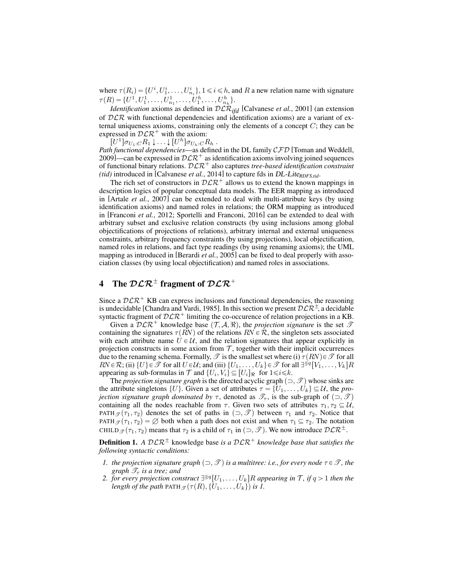where  $\tau(R_i) = \{U^i, U^i_1, \dots, U^i_{n_i}\}, 1 \le i \le h$ , and R a new relation name with signature  $\tau(R) = \{U^1, U_1^1, \ldots, U_{n_1}^1, \ldots, U_1^h, \ldots, U_{n_h}^h\}.$ 

*Identification* axioms as defined in  $D\mathcal{LR}_{ifd}$  [Calvanese *et al.*, 2001] (an extension of  $DLR$  with functional dependencies and identification axioms) are a variant of external uniqueness axioms, constraining only the elements of a concept  $C$ ; they can be expressed in  $D\mathcal{L}R^+$  with the axiom:

 $[U^1] \sigma_{U_1:C} R_1 \downarrow \ldots \downarrow [U^h] \sigma_{U_h:C} R_h$ .

*Path functional dependencies*—as defined in the DL family CFD [Toman and Weddell, 2009]—can be expressed in  $D\mathcal{L}R^+$  as identification axioms involving joined sequences of functional binary relations.  $D\mathcal{L}\mathcal{R}^+$  also captures *tree-based identification constraint (tid)* introduced in [Calvanese *et al.*, 2014] to capture fds in DL-Lite<sub>RDFS,tid</sub>.

The rich set of constructors in  $D\mathcal{L}R^+$  allows us to extend the known mappings in description logics of popular conceptual data models. The EER mapping as introduced in [Artale *et al.*, 2007] can be extended to deal with multi-attribute keys (by using identification axioms) and named roles in relations; the ORM mapping as introduced in [Franconi *et al.*, 2012; Sportelli and Franconi, 2016] can be extended to deal with arbitrary subset and exclusive relation constructs (by using inclusions among global objectifications of projections of relations), arbitrary internal and external uniqueness constraints, arbitrary frequency constraints (by using projections), local objectification, named roles in relations, and fact type readings (by using renaming axioms); the UML mapping as introduced in [Berardi *et al.*, 2005] can be fixed to deal properly with association classes (by using local objectification) and named roles in associations.

## 4 The  $\mathcal{DLR}^{\pm}$  fragment of  $\mathcal{DLR}^{+}$

Since a  $D\mathcal{L}R^+$  KB can express inclusions and functional dependencies, the reasoning is undecidable [Chandra and Vardi, 1985]. In this section we present  $D\mathcal{L}R^{\pm}$ , a decidable syntactic fragment of  $\mathcal{DLR}^+$  limiting the co-occurence of relation projections in a KB.

Given a  $D\mathcal{L}\mathcal{R}^+$  knowledge base  $(\mathcal{T}, \mathcal{A}, \mathcal{R})$ , the *projection signature* is the set  $\mathcal{T}$ containing the signatures  $\tau(RN)$  of the relations  $RN \in \mathcal{R}$ , the singleton sets associated with each attribute name  $U \in \mathcal{U}$ , and the relation signatures that appear explicitly in projection constructs in some axiom from  $\mathcal T$ , together with their implicit occurrences due to the renaming schema. Formally,  $\mathscr T$  is the smallest set where (i)  $\tau(RN) \in \mathscr T$  for all  $RN \in \mathcal{R}$ ; (ii)  $\{U\} \in \mathcal{T}$  for all  $U \in \mathcal{U}$ ; and (iii)  $\{U_1, \ldots, U_k\} \in \mathcal{T}$  for all  $\exists^{\leq q} [V_1, \ldots, V_k]R$ appearing as sub-formulas in  $\mathcal T$  and  $\{U_i, V_i\} \subseteq [U_i]_{\Re}$  for  $1 \leq i \leq k$ .

The *projection signature graph* is the directed acyclic graph  $(\supset, \mathcal{T})$  whose sinks are the attribute singletons  $\{U\}$ . Given a set of attributes  $\tau = \{U_1, \ldots, U_k\} \subseteq \mathcal{U}$ , the *projection signature graph dominated by*  $\tau$ , denoted as  $\mathscr{T}_{\tau}$ , is the sub-graph of  $(\supset, \mathscr{T})$ containing all the nodes reachable from  $\tau$ . Given two sets of attributes  $\tau_1, \tau_2 \subseteq \mathcal{U}$ , PATH  $\mathcal{F}(\tau_1, \tau_2)$  denotes the set of paths in  $(\supset, \mathscr{T})$  between  $\tau_1$  and  $\tau_2$ . Notice that PATH  $g(\tau_1, \tau_2) = \emptyset$  both when a path does not exist and when  $\tau_1 \subseteq \tau_2$ . The notation CHILD  $g(\tau_1, \tau_2)$  means that  $\tau_2$  is a child of  $\tau_1$  in  $(\supset, \mathscr{T})$ . We now introduce  $\mathcal{DLR}^{\pm}$ .

**Definition 1.** *A*  $\mathcal{DLR}^{\pm}$  knowledge base *is a*  $\mathcal{DLR}^{\pm}$  *knowledge base that satisfies the following syntactic conditions:*

- *1. the projection signature graph*  $(\supset, \mathcal{T})$  *is a multitree: i.e., for every node*  $\tau \in \mathcal{T}$ *, the graph*  $\mathscr{T}_{\tau}$  *is a tree; and*
- 2. *for every projection construct*  $\exists^{\leq q} [U_1, \ldots, U_k] R$  appearing in  $\mathcal T$ *, if*  $q > 1$  *then the length of the path* PATH  $\mathcal{F}(\tau(R), \{\overline{U}_1, \ldots, U_k\})$  *is 1.*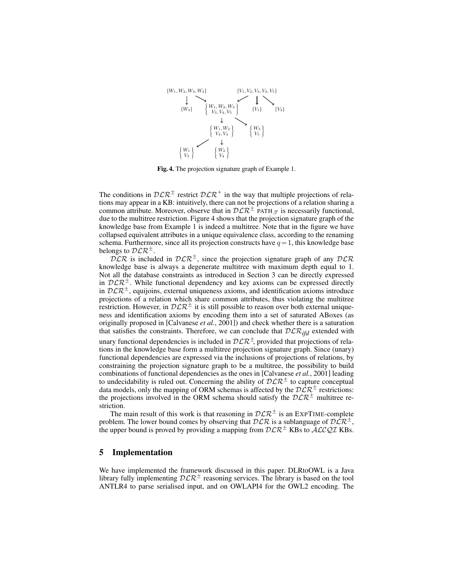

Fig. 4. The projection signature graph of Example 1.

The conditions in  $\mathcal{DLR}^{\pm}$  restrict  $\mathcal{DLR}^{\pm}$  in the way that multiple projections of relations may appear in a KB: intuitively, there can not be projections of a relation sharing a common attribute. Moreover, observe that in  $\mathcal{DLR}^{\pm}$  PATH $\mathcal{I}$  is necessarily functional, due to the multitree restriction. Figure 4 shows that the projection signature graph of the knowledge base from Example 1 is indeed a multitree. Note that in the figure we have collapsed equivalent attributes in a unique equivalence class, according to the renaming schema. Furthermore, since all its projection constructs have  $q = 1$ , this knowledge base belongs to  $\mathcal{DLR}^{\pm}$ .

 $DLR$  is included in  $DLR^{\pm}$ , since the projection signature graph of any  $DLR$ knowledge base is always a degenerate multitree with maximum depth equal to 1. Not all the database constraints as introduced in Section 3 can be directly expressed in  $D\mathcal{L}R^{\pm}$ . While functional dependency and key axioms can be expressed directly in  $D\mathcal{L}R^{\pm}$ , equijoins, external uniqueness axioms, and identification axioms introduce projections of a relation which share common attributes, thus violating the multitree restriction. However, in  $\mathcal{DLR}^{\pm}$  it is still possible to reason over both external uniqueness and identification axioms by encoding them into a set of saturated ABoxes (as originally proposed in [Calvanese *et al.*, 2001]) and check whether there is a saturation that satisfies the constraints. Therefore, we can conclude that  $DLR_{ifd}$  extended with

unary functional dependencies is included in  $\mathcal{DLR}^{\pm}$ , provided that projections of relations in the knowledge base form a multitree projection signature graph. Since (unary) functional dependencies are expressed via the inclusions of projections of relations, by constraining the projection signature graph to be a multitree, the possibility to build combinations of functional dependencies as the ones in [Calvanese *et al.*, 2001] leading to undecidability is ruled out. Concerning the ability of  $\mathcal{DLR}^{\pm}$  to capture conceptual data models, only the mapping of ORM schemas is affected by the  $\mathcal{D}\mathcal{L}\mathcal{R}^{\pm}$  restrictions: the projections involved in the ORM schema should satisfy the  $D\mathcal{L}R^{\pm}$  multitree restriction.

The main result of this work is that reasoning in  $DLR^{\pm}$  is an EXPTIME-complete problem. The lower bound comes by observing that  $DLR$  is a sublanguage of  $D\mathcal{L}R^{\pm}$ , the upper bound is proved by providing a mapping from  $\mathcal{DLR}^{\pm}$  KBs to  $\mathcal{ALCQL}$  KBs.

### 5 Implementation

We have implemented the framework discussed in this paper. DLRtoOWL is a Java library fully implementing  $\mathcal{D}\mathcal{L}\mathcal{R}^{\pm}$  reasoning services. The library is based on the tool ANTLR4 to parse serialised input, and on OWLAPI4 for the OWL2 encoding. The